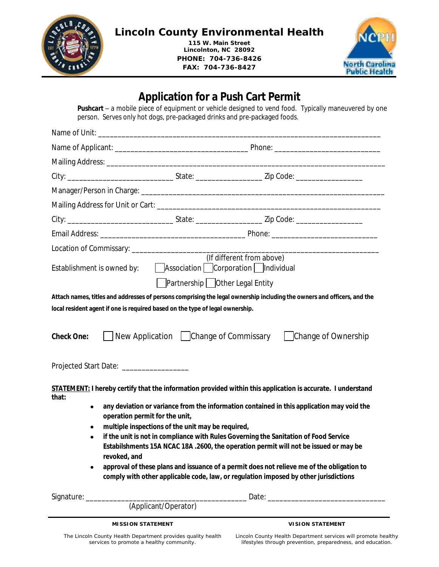

## **Lincoln County Environmental Health**

**115 W. Main Street Lincolnton, NC 28092 PHONE: 704-736-8426 FAX: 704-736-8427**



# **Application for a Push Cart Permit Pushcart** – a mobile piece of equipment or vehicle designed to vend food. Typically maneuvered by one person. Serves only hot dogs, pre-packaged drinks and pre-packaged foods. Name of Unit: \_\_\_\_\_\_\_\_\_\_\_\_\_\_\_\_\_\_\_\_\_\_\_\_\_\_\_\_\_\_\_\_\_\_\_\_\_\_\_\_\_\_\_\_\_\_\_\_\_\_\_\_\_\_\_\_\_\_\_\_\_\_\_\_\_\_\_\_\_\_\_\_ Name of Applicant: \_\_\_\_\_\_\_\_\_\_\_\_\_\_\_\_\_\_\_\_\_\_\_\_\_\_\_\_\_\_\_\_\_\_ Phone: \_\_\_\_\_\_\_\_\_\_\_\_\_\_\_\_\_\_\_\_\_\_\_\_\_\_\_ Mailing Address: **Walling** City: \_\_\_\_\_\_\_\_\_\_\_\_\_\_\_\_\_\_\_\_\_\_\_\_\_\_\_ State: \_\_\_\_\_\_\_\_\_\_\_\_\_\_\_\_\_ Zip Code: \_\_\_\_\_\_\_\_\_\_\_\_\_\_\_\_\_ Manager/Person in Charge: \_\_\_\_\_\_\_\_\_\_\_\_\_\_\_\_\_\_\_\_\_\_\_\_\_\_\_\_\_\_\_\_\_\_\_\_\_\_\_\_\_\_\_\_\_\_\_\_\_\_\_\_\_\_\_\_\_\_\_\_\_\_ Mailing Address for Unit or Cart: \_\_\_\_\_\_\_\_\_\_\_\_\_\_\_\_\_\_\_\_\_\_\_\_\_\_\_\_\_\_\_\_\_\_\_\_\_\_\_\_\_\_\_\_\_\_\_\_\_\_\_\_\_\_\_\_\_ City: \_\_\_\_\_\_\_\_\_\_\_\_\_\_\_\_\_\_\_\_\_\_\_\_\_\_\_ State: \_\_\_\_\_\_\_\_\_\_\_\_\_\_\_\_\_ Zip Code: \_\_\_\_\_\_\_\_\_\_\_\_\_\_\_\_\_ Email Address: \_\_\_\_\_\_\_\_\_\_\_\_\_\_\_\_\_\_\_\_\_\_\_\_\_\_\_\_\_\_\_\_\_\_\_\_\_ Phone: \_\_\_\_\_\_\_\_\_\_\_\_\_\_\_\_\_\_\_\_\_\_\_\_\_\_\_ Location of Commissary: \_\_\_\_\_\_\_\_\_\_\_\_\_\_\_\_\_\_\_\_\_\_\_\_\_\_\_\_\_\_\_\_\_\_\_\_\_\_\_\_\_\_\_\_\_\_\_\_\_\_\_\_\_\_\_\_\_\_\_\_\_\_\_ (If different from above) Establishment is owned by:  $\Box$  Association  $\Box$  Corporation  $\Box$  Individual **Partnership** Other Legal Entity **Attach names, titles and addresses of persons comprising the legal ownership including the owners and officers, and the local resident agent if one is required based on the type of legal ownership. Check One:** New Application Change of Commissary Change of Ownership Projected Start Date: \_\_\_\_\_\_\_\_\_\_\_\_\_\_\_\_\_ **STATEMENT: I hereby certify that the information provided within this application is accurate. I understand that: any deviation or variance from the information contained in this application may void the operation permit for the unit, multiple inspections of the unit may be required, if the unit is not in compliance with Rules Governing the Sanitation of Food Service Estabilshments 15A NCAC 18A .2600, the operation permit will not be issued or may be revoked, and approval of these plans and issuance of a permit does not relieve me of the obligation to comply with other applicable code, law, or regulation imposed by other jurisdictions** Signature: \_\_\_\_\_\_\_\_\_\_\_\_\_\_\_\_\_\_\_\_\_\_\_\_\_\_\_\_\_\_\_\_\_\_\_\_\_\_\_\_\_ Date: \_\_\_\_\_\_\_\_\_\_\_\_\_\_\_\_\_\_\_\_\_\_\_\_\_\_\_\_\_\_ (Applicant/Operator)

**MISSION STATEMENT**

**VISION STATEMENT**

*The Lincoln County Health Department provides quality health services to promote a healthy community.*

*Lincoln County Health Department services will promote healthy lifestyles through prevention, preparedness, and education.*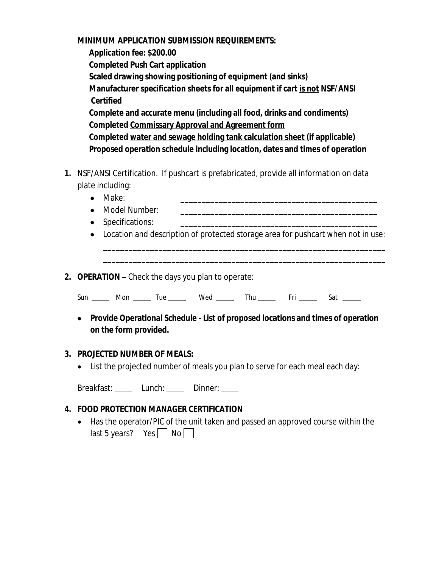#### **MINIMUM APPLICATION SUBMISSION REQUIREMENTS:**

 **Application fee: \$200.00 Completed Push Cart application Scaled drawing showing positioning of equipment (and sinks) Manufacturer specification sheets for all equipment if cart is not NSF/ANSI Certified Complete and accurate menu (including all food, drinks and condiments) Completed Commissary Approval and Agreement form Completed water and sewage holding tank calculation sheet (if applicable) Proposed operation schedule including location, dates and times of operation**

- **1.** NSF/ANSI Certification. If pushcart is prefabricated, provide all information on data plate including:
	- Make: \_\_\_\_\_\_\_\_\_\_\_\_\_\_\_\_\_\_\_\_\_\_\_\_\_\_\_\_\_\_\_\_\_\_\_\_\_\_\_\_\_\_\_\_\_\_
	- Model Number:
	- Specifications:
	- Location and description of protected storage area for pushcart when not in use:

\_\_\_\_\_\_\_\_\_\_\_\_\_\_\_\_\_\_\_\_\_\_\_\_\_\_\_\_\_\_\_\_\_\_\_\_\_\_\_\_\_\_\_\_\_\_\_\_\_\_\_\_\_\_\_\_\_\_\_\_\_\_\_\_\_\_ \_\_\_\_\_\_\_\_\_\_\_\_\_\_\_\_\_\_\_\_\_\_\_\_\_\_\_\_\_\_\_\_\_\_\_\_\_\_\_\_\_\_\_\_\_\_\_\_\_\_\_\_\_\_\_\_\_\_\_\_\_\_\_\_\_\_

**2. OPERATION –** Check the days you plan to operate:

Sun \_\_\_\_\_ Mon \_\_\_\_\_ Tue \_\_\_\_\_ Wed \_\_\_\_\_ Thu \_\_\_\_\_ Fri \_\_\_\_\_ Sat \_\_\_\_\_

 **Provide Operational Schedule - List of proposed locations and times of operation on the form provided.**

#### **3. PROJECTED NUMBER OF MEALS:**

List the projected number of meals you plan to serve for each meal each day:

Breakfast: \_\_\_\_\_ Lunch: \_\_\_\_\_ Dinner: \_\_\_\_

### **4. FOOD PROTECTION MANAGER CERTIFICATION**

 Has the operator/PIC of the unit taken and passed an approved course within the last 5 years? Yes  $\Box$  No  $\Box$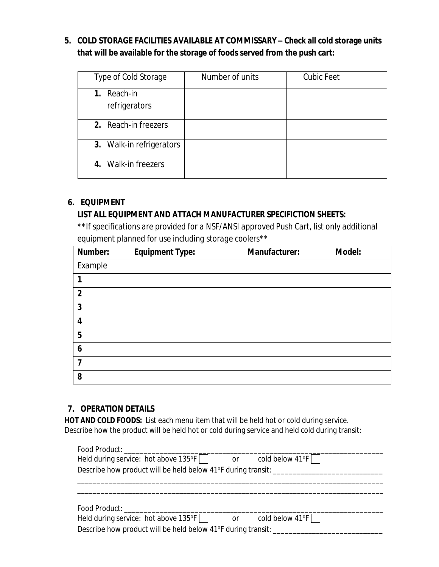## **5. COLD STORAGE FACILITIES AVAILABLE AT COMMISSARY – Check all cold storage units that will be available for the storage of foods served from the push cart:**

| Type of Cold Storage            | Number of units | <b>Cubic Feet</b> |
|---------------------------------|-----------------|-------------------|
| Reach-in<br>1.<br>refrigerators |                 |                   |
| 2. Reach-in freezers            |                 |                   |
| 3. Walk-in refrigerators        |                 |                   |
| 4. Walk-in freezers             |                 |                   |

#### **6. EQUIPMENT**

### **LIST ALL EQUIPMENT AND ATTACH MANUFACTURER SPECIFICTION SHEETS:**

*\*\*If specifications are provided for a NSF/ANSI approved Push Cart, list only additional equipment planned for use including storage coolers\*\**

| Number:        | <b>Equipment Type:</b> | Manufacturer: | Model: |
|----------------|------------------------|---------------|--------|
| Example        |                        |               |        |
|                |                        |               |        |
| $\overline{2}$ |                        |               |        |
| 3              |                        |               |        |
| 4              |                        |               |        |
| 5              |                        |               |        |
| 6              |                        |               |        |
| 7              |                        |               |        |
| 8              |                        |               |        |

### **7. OPERATION DETAILS**

**HOT AND COLD FOODS:** List each menu item that will be held hot or cold during service. Describe how the product will be held hot or cold during service and held cold during transit:

| Food Product: Exercise Services Services                                   |                           |
|----------------------------------------------------------------------------|---------------------------|
| Held during service: hot above 135°F    <br>or                             | cold below 41°F $\Box$    |
| Describe how product will be held below 41°F during transit: _____________ |                           |
|                                                                            |                           |
|                                                                            |                           |
|                                                                            |                           |
| Food Product: Exercise Section 2014                                        |                           |
| Held during service: hot above $135^{\circ}F$<br><b>or</b>                 | cold below $41^{\circ}$ F |
| Describe how product will be held below 41°F during transit: ______        |                           |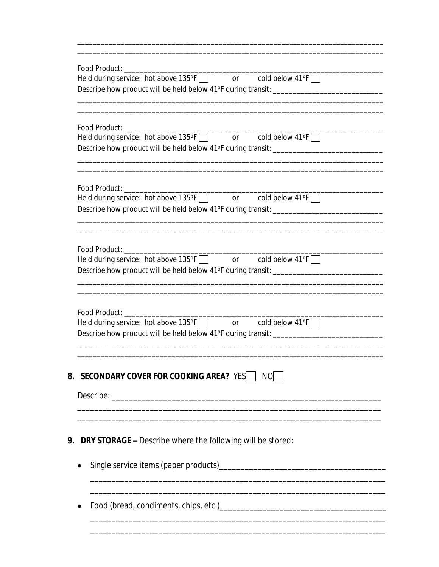| Held during service: hot above 135°F or cold below 41°F<br>Describe how product will be held below 41°F during transit: ____________________                         |
|----------------------------------------------------------------------------------------------------------------------------------------------------------------------|
| Describe how product will be held below 41°F during transit: ___________________                                                                                     |
| Held during service: hot above 135°F and or cold below 41°F<br>Describe how product will be held below 41°F during transit: ____________________                     |
| Held during service: hot above 135°F   or cold below 41°F  <br>Describe how product will be held below 41°F during transit: ___________________________              |
| Food Product:<br>Held during service: hot above 135°F or cold below 41°F<br>Describe how product will be held below 41°F during transit: ___________________________ |
| 8. SECONDARY COVER FOR COOKING AREA? YES NO                                                                                                                          |
| <b>DRY STORAGE -</b> Describe where the following will be stored:                                                                                                    |
|                                                                                                                                                                      |
|                                                                                                                                                                      |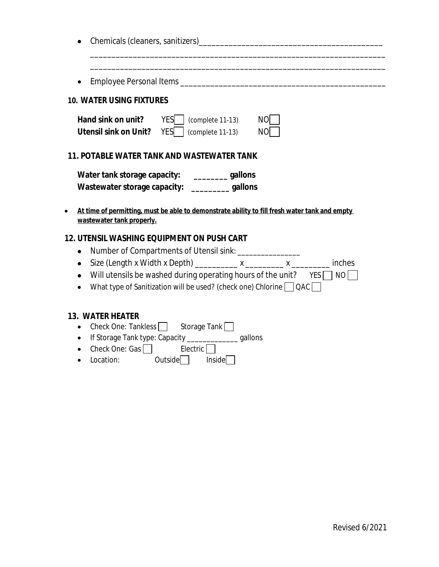| <b>10. WATER USING FIXTURES</b>                |                                                                                                                                                                                                            |                                                                                               |
|------------------------------------------------|------------------------------------------------------------------------------------------------------------------------------------------------------------------------------------------------------------|-----------------------------------------------------------------------------------------------|
| <b>Utensil sink on Unit?</b> YES               | Hand sink on unit? YES   (complete 11-13)<br>(complete 11-13)                                                                                                                                              | NO<br>NO.                                                                                     |
|                                                | <b>11. POTABLE WATER TANK AND WASTEWATER TANK</b>                                                                                                                                                          |                                                                                               |
| wastewater tank properly.                      | Water tank storage capacity: ____________gallons<br>Wastewater storage capacity: ____________gallons                                                                                                       | At time of permitting, must be able to demonstrate ability to fill fresh water tank and empty |
|                                                | <b>12. UTENSIL WASHING EQUIPMENT ON PUSH CART</b>                                                                                                                                                          |                                                                                               |
| ٠<br>٠<br>$\bullet$<br>$\bullet$               | Number of Compartments of Utensil sink: _________________<br>Size (Length x Width x Depth) ___________ x ________ x ___________<br>What type of Sanitization will be used? (check one) Chlorine $\Box$ QAC | inches<br>Will utensils be washed during operating hours of the unit? $YES \cap NO$           |
| <b>13. WATER HEATER</b><br>Check One: Tankless | Storage Tank                                                                                                                                                                                               |                                                                                               |

- If Storage Tank type: Capacity \_\_\_\_\_\_\_\_\_\_\_\_\_ gallons
- Check One:  $Gas$
- $\overline{\phantom{a}}$  Location:  $\overline{\phantom{a}}$  Outside Inside